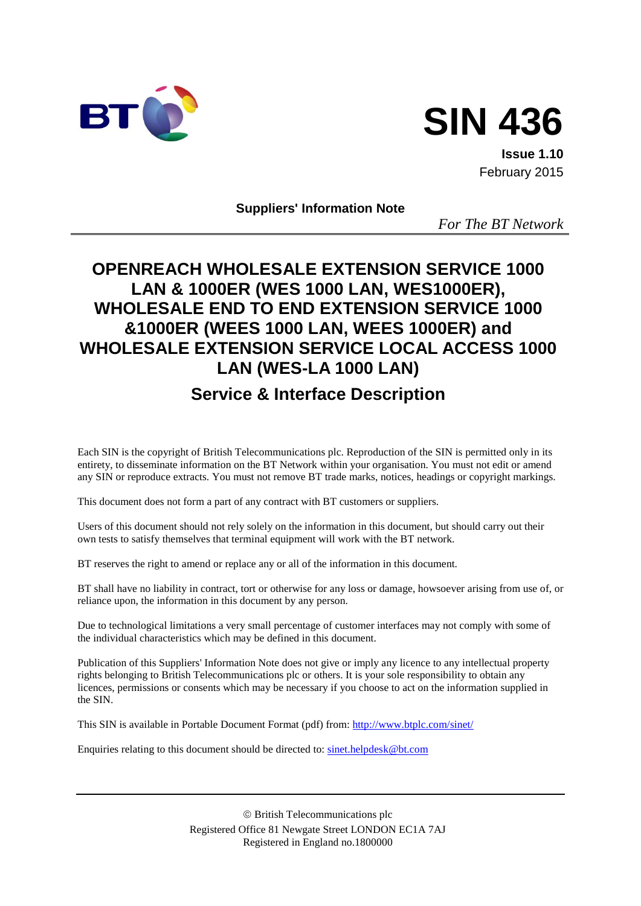



**Issue 1.10** February 2015

**Suppliers' Information Note**

*For The BT Network*

# **OPENREACH WHOLESALE EXTENSION SERVICE 1000 LAN & 1000ER (WES 1000 LAN, WES1000ER), WHOLESALE END TO END EXTENSION SERVICE 1000 &1000ER (WEES 1000 LAN, WEES 1000ER) and WHOLESALE EXTENSION SERVICE LOCAL ACCESS 1000 LAN (WES-LA 1000 LAN)**

## **Service & Interface Description**

Each SIN is the copyright of British Telecommunications plc. Reproduction of the SIN is permitted only in its entirety, to disseminate information on the BT Network within your organisation. You must not edit or amend any SIN or reproduce extracts. You must not remove BT trade marks, notices, headings or copyright markings.

This document does not form a part of any contract with BT customers or suppliers.

Users of this document should not rely solely on the information in this document, but should carry out their own tests to satisfy themselves that terminal equipment will work with the BT network.

BT reserves the right to amend or replace any or all of the information in this document.

BT shall have no liability in contract, tort or otherwise for any loss or damage, howsoever arising from use of, or reliance upon, the information in this document by any person.

Due to technological limitations a very small percentage of customer interfaces may not comply with some of the individual characteristics which may be defined in this document.

Publication of this Suppliers' Information Note does not give or imply any licence to any intellectual property rights belonging to British Telecommunications plc or others. It is your sole responsibility to obtain any licences, permissions or consents which may be necessary if you choose to act on the information supplied in the SIN.

This SIN is available in Portable Document Format (pdf) from:<http://www.btplc.com/sinet/>

Enquiries relating to this document should be directed to: [sinet.helpdesk@bt.com](mailto:sinet.helpdesk@bt.com)

 British Telecommunications plc Registered Office 81 Newgate Street LONDON EC1A 7AJ Registered in England no.1800000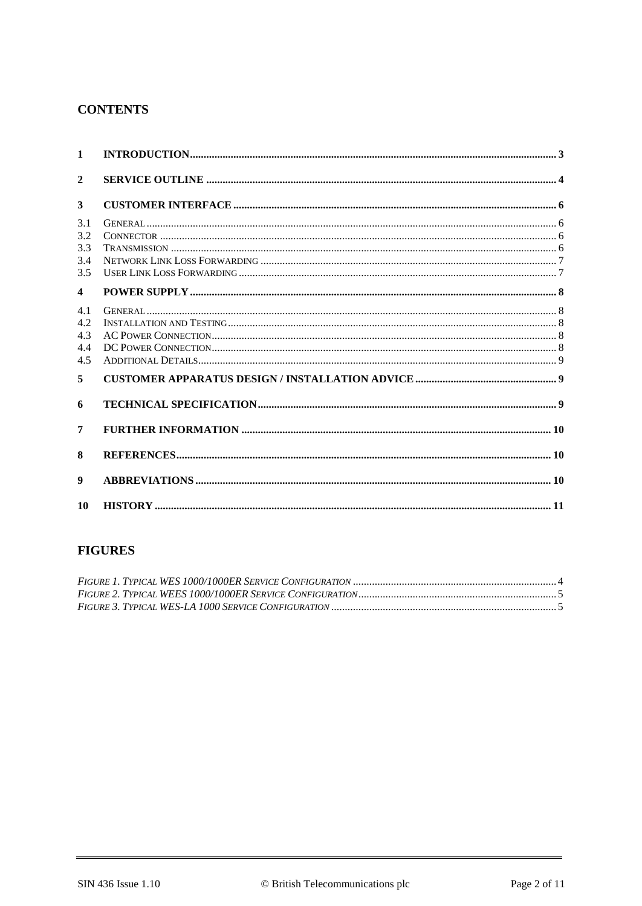#### **CONTENTS**

| $\mathbf{1}$                     |  |
|----------------------------------|--|
| $\mathbf{2}$                     |  |
| 3                                |  |
| 3.1<br>3.2<br>3.3<br>3.4<br>3.5  |  |
| $\overline{\mathbf{4}}$          |  |
| 4.1<br>4.2.<br>4.3<br>4.4<br>4.5 |  |
| 5                                |  |
| 6                                |  |
| 7                                |  |
| 8                                |  |
| 9                                |  |
| 10                               |  |

## **FIGURES**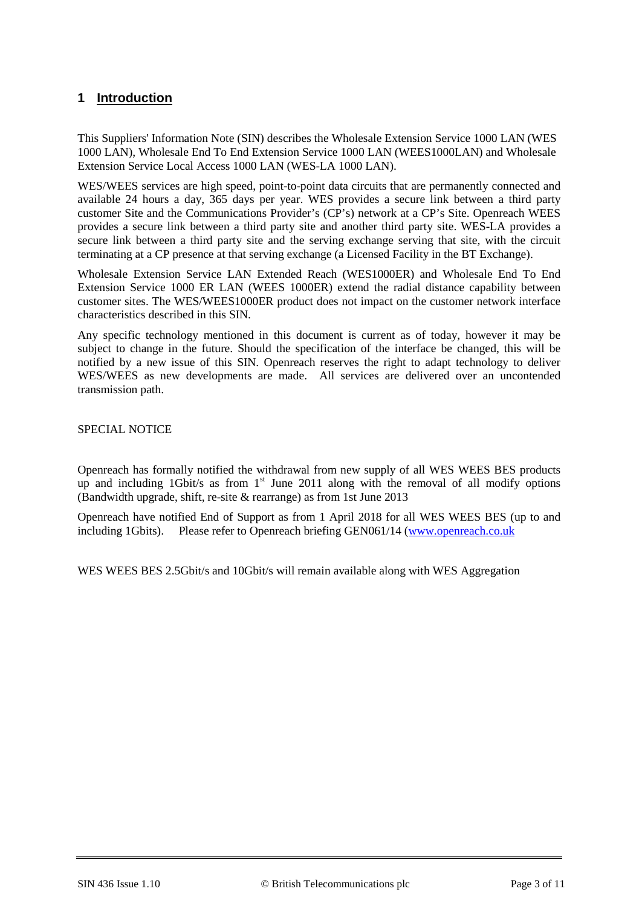## **1 Introduction**

This Suppliers' Information Note (SIN) describes the Wholesale Extension Service 1000 LAN (WES 1000 LAN), Wholesale End To End Extension Service 1000 LAN (WEES1000LAN) and Wholesale Extension Service Local Access 1000 LAN (WES-LA 1000 LAN).

WES/WEES services are high speed, point-to-point data circuits that are permanently connected and available 24 hours a day, 365 days per year. WES provides a secure link between a third party customer Site and the Communications Provider's (CP's) network at a CP's Site. Openreach WEES provides a secure link between a third party site and another third party site. WES-LA provides a secure link between a third party site and the serving exchange serving that site, with the circuit terminating at a CP presence at that serving exchange (a Licensed Facility in the BT Exchange).

Wholesale Extension Service LAN Extended Reach (WES1000ER) and Wholesale End To End Extension Service 1000 ER LAN (WEES 1000ER) extend the radial distance capability between customer sites. The WES/WEES1000ER product does not impact on the customer network interface characteristics described in this SIN.

Any specific technology mentioned in this document is current as of today, however it may be subject to change in the future. Should the specification of the interface be changed, this will be notified by a new issue of this SIN. Openreach reserves the right to adapt technology to deliver WES/WEES as new developments are made. All services are delivered over an uncontended transmission path.

SPECIAL NOTICE

Openreach has formally notified the withdrawal from new supply of all WES WEES BES products up and including  $1$ Gbit/s as from  $1<sup>st</sup>$  June 2011 along with the removal of all modify options (Bandwidth upgrade, shift, re-site & rearrange) as from 1st June 2013

Openreach have notified End of Support as from 1 April 2018 for all WES WEES BES (up to and including 1Gbits). Please refer to Openreach briefing GEN061/14 [\(www.openreach.co.uk](http://www.openreach.co.uk/) 

WES WEES BES 2.5Gbit/s and 10Gbit/s will remain available along with WES Aggregation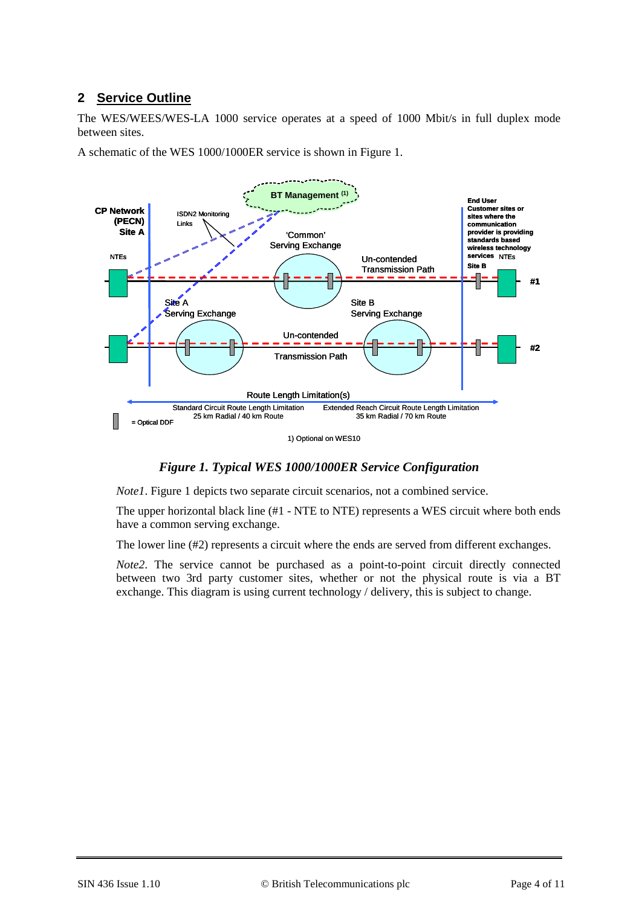## **2 Service Outline**

The WES/WEES/WES-LA 1000 service operates at a speed of 1000 Mbit/s in full duplex mode between sites.

A schematic of the WES 1000/1000ER service is shown in [Figure 1.](#page-3-0)



1) Optional on WES10

#### *Figure 1. Typical WES 1000/1000ER Service Configuration*

<span id="page-3-0"></span>*Note1*. [Figure 1](#page-3-0) depicts two separate circuit scenarios, not a combined service.

The upper horizontal black line (#1 - NTE to NTE) represents a WES circuit where both ends have a common serving exchange.

The lower line (#2) represents a circuit where the ends are served from different exchanges.

*Note2*. The service cannot be purchased as a point-to-point circuit directly connected between two 3rd party customer sites, whether or not the physical route is via a BT exchange. This diagram is using current technology / delivery, this is subject to change.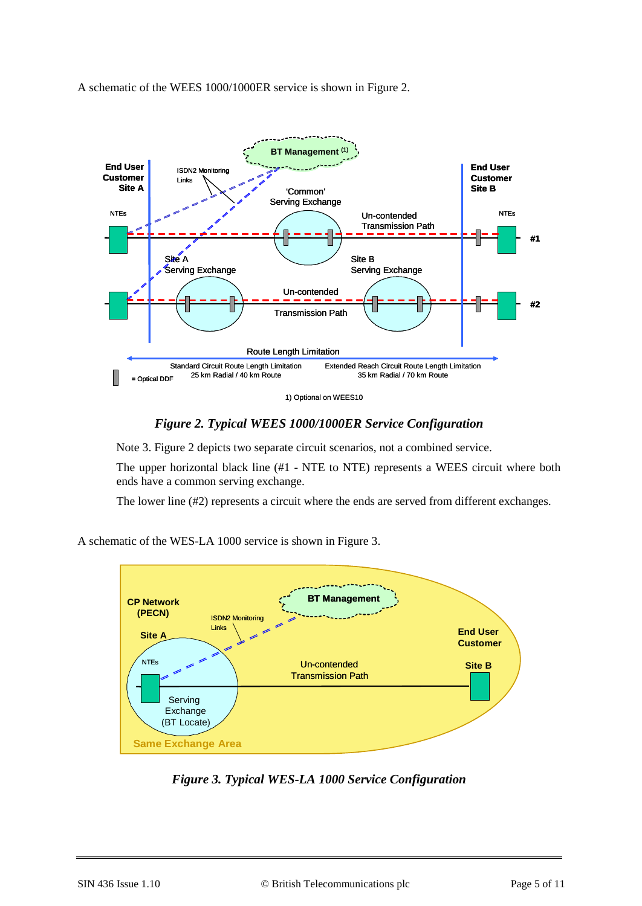A schematic of the WEES 1000/1000ER service is shown in Figure 2.



1) Optional on WEES10

#### *Figure 2. Typical WEES 1000/1000ER Service Configuration*

<span id="page-4-0"></span>Note 3. [Figure 2](#page-4-0) depicts two separate circuit scenarios, not a combined service.

The upper horizontal black line (#1 - NTE to NTE) represents a WEES circuit where both ends have a common serving exchange.

The lower line (#2) represents a circuit where the ends are served from different exchanges.

A schematic of the WES-LA 1000 service is shown in [Figure 3.](#page-4-1)



<span id="page-4-1"></span>*Figure 3. Typical WES-LA 1000 Service Configuration*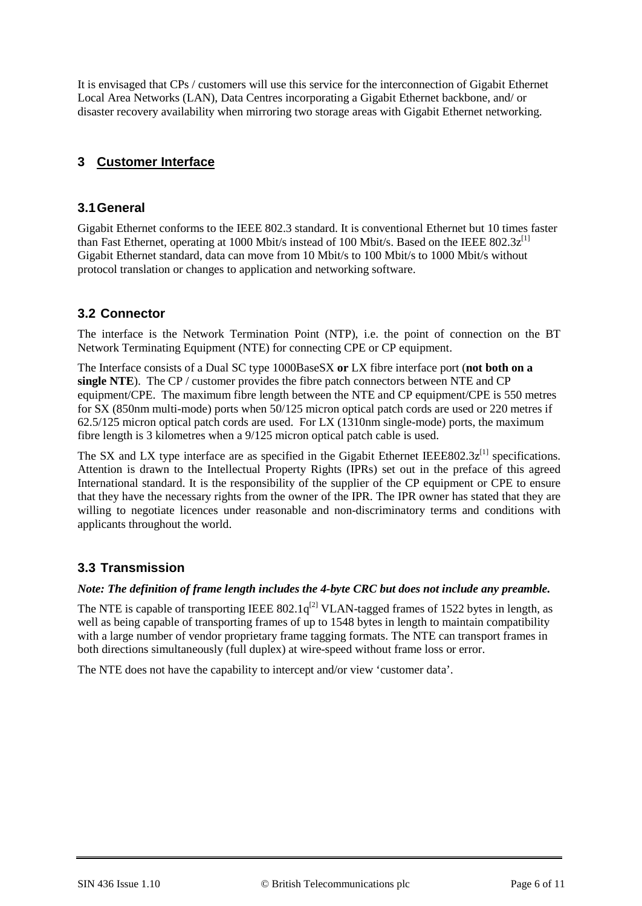It is envisaged that CPs / customers will use this service for the interconnection of Gigabit Ethernet Local Area Networks (LAN), Data Centres incorporating a Gigabit Ethernet backbone, and/ or disaster recovery availability when mirroring two storage areas with Gigabit Ethernet networking.

## **3 Customer Interface**

#### **3.1General**

Gigabit Ethernet conforms to the IEEE 802.3 standard. It is conventional Ethernet but 10 times faster than Fast Ethernet, operating at 1000 Mbit/s instead of 100 Mbit/s. Based on the IEEE 802.3 $z^{[1]}$ Gigabit Ethernet standard, data can move from 10 Mbit/s to 100 Mbit/s to 1000 Mbit/s without protocol translation or changes to application and networking software.

## **3.2 Connector**

The interface is the Network Termination Point (NTP), i.e. the point of connection on the BT Network Terminating Equipment (NTE) for connecting CPE or CP equipment.

The Interface consists of a Dual SC type 1000BaseSX **or** LX fibre interface port (**not both on a single NTE**). The CP / customer provides the fibre patch connectors between NTE and CP equipment/CPE. The maximum fibre length between the NTE and CP equipment/CPE is 550 metres for SX (850nm multi-mode) ports when 50/125 micron optical patch cords are used or 220 metres if 62.5/125 micron optical patch cords are used. For LX (1310nm single-mode) ports, the maximum fibre length is 3 kilometres when a 9/125 micron optical patch cable is used.

The SX and LX type interface are as specified in the Gigabit Ethernet IEEE802.3 $z^{[1]}$  specifications. Attention is drawn to the Intellectual Property Rights (IPRs) set out in the preface of this agreed International standard. It is the responsibility of the supplier of the CP equipment or CPE to ensure that they have the necessary rights from the owner of the IPR. The IPR owner has stated that they are willing to negotiate licences under reasonable and non-discriminatory terms and conditions with applicants throughout the world.

## **3.3 Transmission**

#### *Note: The definition of frame length includes the 4-byte CRC but does not include any preamble.*

The NTE is capable of transporting IEEE 802.1 $q^{[2]}$  VLAN-tagged frames of 1522 bytes in length, as well as being capable of transporting frames of up to 1548 bytes in length to maintain compatibility with a large number of vendor proprietary frame tagging formats. The NTE can transport frames in both directions simultaneously (full duplex) at wire-speed without frame loss or error.

The NTE does not have the capability to intercept and/or view 'customer data'.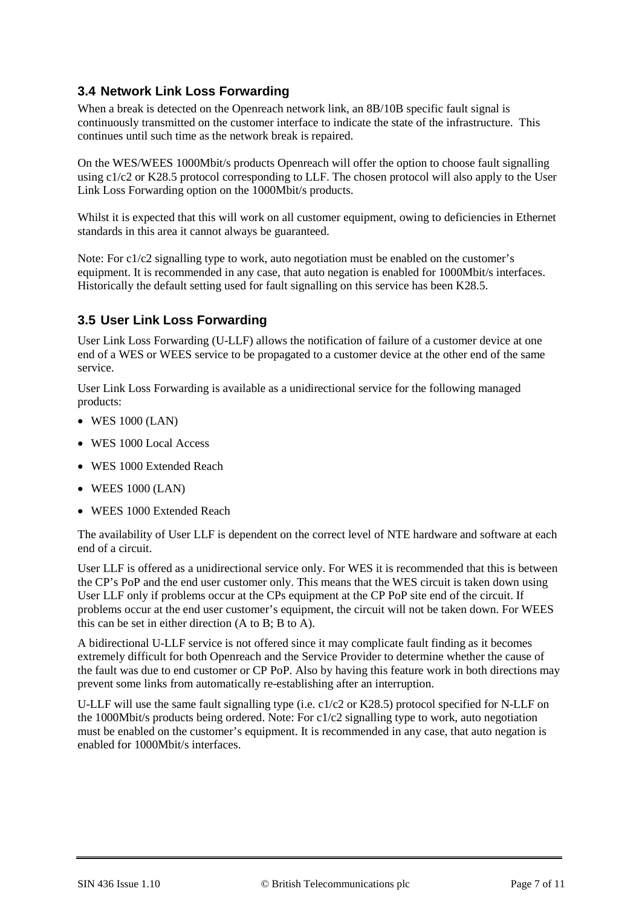## **3.4 Network Link Loss Forwarding**

When a break is detected on the Openreach network link, an 8B/10B specific fault signal is continuously transmitted on the customer interface to indicate the state of the infrastructure. This continues until such time as the network break is repaired.

On the WES/WEES 1000Mbit/s products Openreach will offer the option to choose fault signalling using c1/c2 or K28.5 protocol corresponding to LLF. The chosen protocol will also apply to the User Link Loss Forwarding option on the 1000Mbit/s products.

Whilst it is expected that this will work on all customer equipment, owing to deficiencies in Ethernet standards in this area it cannot always be guaranteed.

Note: For c1/c2 signalling type to work, auto negotiation must be enabled on the customer's equipment. It is recommended in any case, that auto negation is enabled for 1000Mbit/s interfaces. Historically the default setting used for fault signalling on this service has been K28.5.

## **3.5 User Link Loss Forwarding**

User Link Loss Forwarding (U-LLF) allows the notification of failure of a customer device at one end of a WES or WEES service to be propagated to a customer device at the other end of the same service.

User Link Loss Forwarding is available as a unidirectional service for the following managed products:

- WES 1000 (LAN)
- WES 1000 Local Access
- WES 1000 Extended Reach
- WEES 1000 (LAN)
- WEES 1000 Extended Reach

The availability of User LLF is dependent on the correct level of NTE hardware and software at each end of a circuit.

User LLF is offered as a unidirectional service only. For WES it is recommended that this is between the CP's PoP and the end user customer only. This means that the WES circuit is taken down using User LLF only if problems occur at the CPs equipment at the CP PoP site end of the circuit. If problems occur at the end user customer's equipment, the circuit will not be taken down. For WEES this can be set in either direction (A to B; B to A).

A bidirectional U-LLF service is not offered since it may complicate fault finding as it becomes extremely difficult for both Openreach and the Service Provider to determine whether the cause of the fault was due to end customer or CP PoP. Also by having this feature work in both directions may prevent some links from automatically re-establishing after an interruption.

U-LLF will use the same fault signalling type (i.e. c1/c2 or K28.5) protocol specified for N-LLF on the 1000Mbit/s products being ordered. Note: For c1/c2 signalling type to work, auto negotiation must be enabled on the customer's equipment. It is recommended in any case, that auto negation is enabled for 1000Mbit/s interfaces.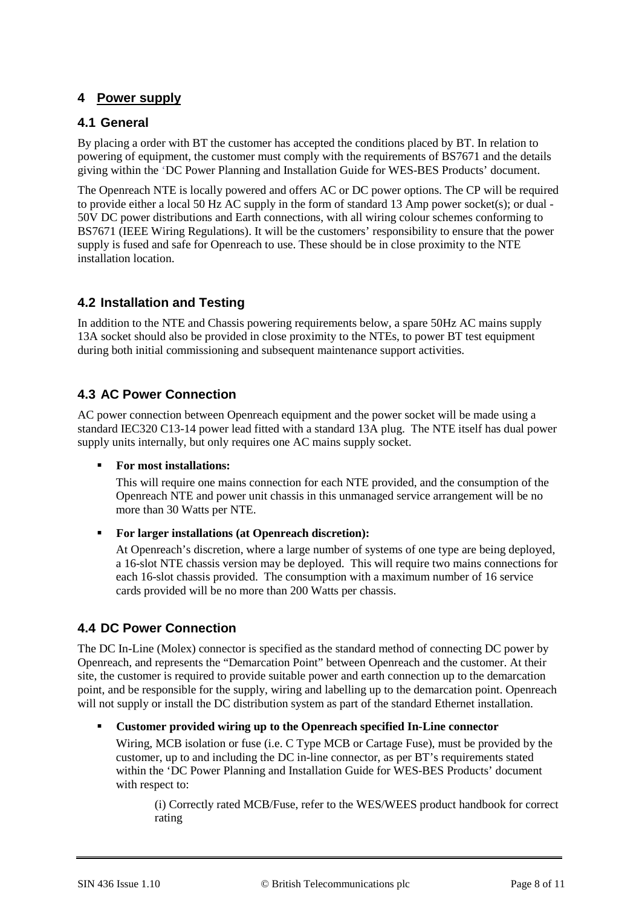## **4 Power supply**

#### **4.1 General**

By placing a order with BT the customer has accepted the conditions placed by BT. In relation to powering of equipment, the customer must comply with the requirements of BS7671 and the details giving within the 'DC Power Planning and Installation Guide for WES-BES Products' document.

The Openreach NTE is locally powered and offers AC or DC power options. The CP will be required to provide either a local 50 Hz AC supply in the form of standard 13 Amp power socket(s); or dual - 50V DC power distributions and Earth connections, with all wiring colour schemes conforming to BS7671 (IEEE Wiring Regulations). It will be the customers' responsibility to ensure that the power supply is fused and safe for Openreach to use. These should be in close proximity to the NTE installation location.

## **4.2 Installation and Testing**

In addition to the NTE and Chassis powering requirements below, a spare 50Hz AC mains supply 13A socket should also be provided in close proximity to the NTEs, to power BT test equipment during both initial commissioning and subsequent maintenance support activities.

## **4.3 AC Power Connection**

AC power connection between Openreach equipment and the power socket will be made using a standard IEC320 C13-14 power lead fitted with a standard 13A plug. The NTE itself has dual power supply units internally, but only requires one AC mains supply socket.

#### **For most installations:**

This will require one mains connection for each NTE provided, and the consumption of the Openreach NTE and power unit chassis in this unmanaged service arrangement will be no more than 30 Watts per NTE.

#### **For larger installations (at Openreach discretion):**

At Openreach's discretion, where a large number of systems of one type are being deployed, a 16-slot NTE chassis version may be deployed. This will require two mains connections for each 16-slot chassis provided. The consumption with a maximum number of 16 service cards provided will be no more than 200 Watts per chassis.

#### **4.4 DC Power Connection**

The DC In-Line (Molex) connector is specified as the standard method of connecting DC power by Openreach, and represents the "Demarcation Point" between Openreach and the customer. At their site, the customer is required to provide suitable power and earth connection up to the demarcation point, and be responsible for the supply, wiring and labelling up to the demarcation point. Openreach will not supply or install the DC distribution system as part of the standard Ethernet installation.

#### **Customer provided wiring up to the Openreach specified In-Line connector**

Wiring, MCB isolation or fuse (i.e. C Type MCB or Cartage Fuse), must be provided by the customer, up to and including the DC in-line connector, as per BT's requirements stated within the 'DC Power Planning and Installation Guide for WES-BES Products' document with respect to:

(i) Correctly rated MCB/Fuse, refer to the WES/WEES product handbook for correct rating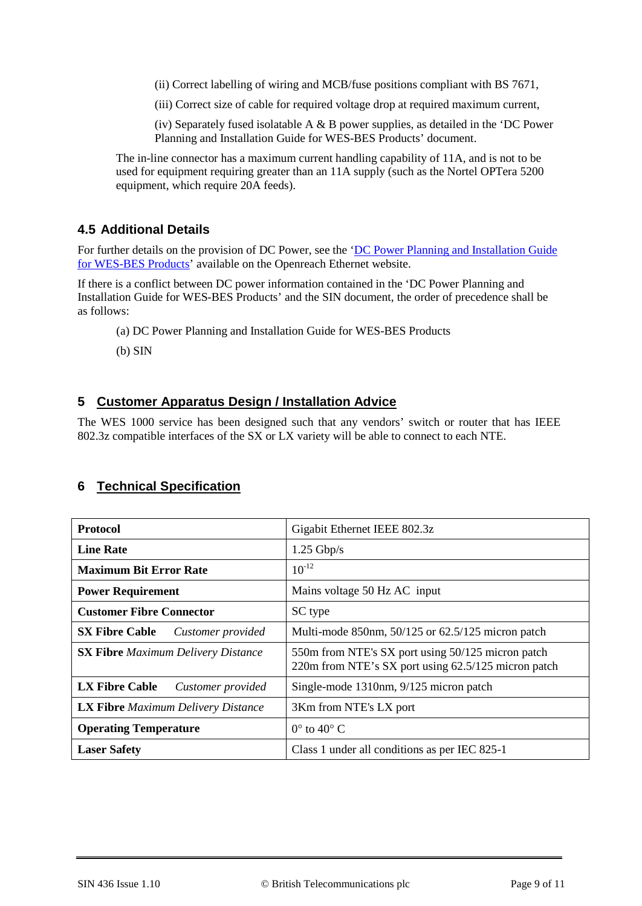(ii) Correct labelling of wiring and MCB/fuse positions compliant with BS 7671,

(iii) Correct size of cable for required voltage drop at required maximum current,

(iv) Separately fused isolatable A & B power supplies, as detailed in the 'DC Power Planning and Installation Guide for WES-BES Products' document.

The in-line connector has a maximum current handling capability of 11A, and is not to be used for equipment requiring greater than an 11A supply (such as the Nortel OPTera 5200 equipment, which require 20A feeds).

#### **4.5 Additional Details**

For further details on the provision of DC Power, see the 'DC Power Planning and Installation Guide [for WES-BES Products'](https://www.openreach.co.uk/orpg/home/newlogin.do?smauthreason=0&target=http%3A%2F%2Fwww.openreach.co.uk%2Forpg%2Fcustomerzone%2Fproducts%2Fethernetservices%2Fethernetaccessdirect%2Fdescription%2Fsupplementaryinformation%2Fsupplementaryinfo.do&fromMasterHead=1) available on the Openreach Ethernet website.

If there is a conflict between DC power information contained in the 'DC Power Planning and Installation Guide for WES-BES Products' and the SIN document, the order of precedence shall be as follows:

(a) DC Power Planning and Installation Guide for WES-BES Products

(b) SIN

#### **5 Customer Apparatus Design / Installation Advice**

The WES 1000 service has been designed such that any vendors' switch or router that has IEEE 802.3z compatible interfaces of the SX or LX variety will be able to connect to each NTE.

#### **6 Technical Specification**

| <b>Protocol</b>                            | Gigabit Ethernet IEEE 802.3z                                                                             |
|--------------------------------------------|----------------------------------------------------------------------------------------------------------|
| <b>Line Rate</b>                           | $1.25$ Gbp/s                                                                                             |
| <b>Maximum Bit Error Rate</b>              | $10^{-12}$                                                                                               |
| <b>Power Requirement</b>                   | Mains voltage 50 Hz AC input                                                                             |
| <b>Customer Fibre Connector</b>            | SC type                                                                                                  |
| <b>SX Fibre Cable</b><br>Customer provided | Multi-mode 850nm, 50/125 or 62.5/125 micron patch                                                        |
| <b>SX Fibre</b> Maximum Delivery Distance  | 550m from NTE's SX port using 50/125 micron patch<br>220m from NTE's SX port using 62.5/125 micron patch |
| <b>LX Fibre Cable</b><br>Customer provided | Single-mode 1310nm, 9/125 micron patch                                                                   |
| <b>LX Fibre</b> Maximum Delivery Distance  | 3Km from NTE's LX port                                                                                   |
| <b>Operating Temperature</b>               | $0^{\circ}$ to $40^{\circ}$ C                                                                            |
| <b>Laser Safety</b>                        | Class 1 under all conditions as per IEC 825-1                                                            |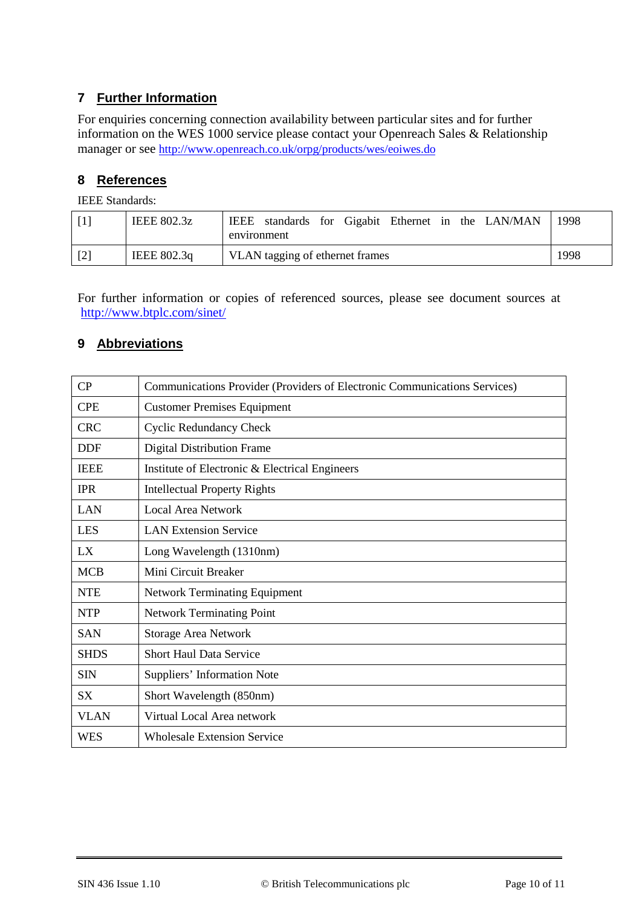## **7 Further Information**

For enquiries concerning connection availability between particular sites and for further information on the WES 1000 service please contact your Openreach Sales & Relationship manager or see<http://www.openreach.co.uk/orpg/products/wes/eoiwes.do>

#### **8 References**

IEEE Standards:

<span id="page-9-1"></span><span id="page-9-0"></span>

|       | <b>IEEE 802.3z</b> | IEEE standards for Gigabit Ethernet in the LAN/MAN<br>environment | 1998. |
|-------|--------------------|-------------------------------------------------------------------|-------|
| $[2]$ | IEEE 802.3q        | VLAN tagging of ethernet frames                                   | 1998  |

For further information or copies of referenced sources, please see document sources at <http://www.btplc.com/sinet/>

#### **9 Abbreviations**

| $\rm CP$    | Communications Provider (Providers of Electronic Communications Services) |  |  |
|-------------|---------------------------------------------------------------------------|--|--|
| <b>CPE</b>  | <b>Customer Premises Equipment</b>                                        |  |  |
| <b>CRC</b>  | <b>Cyclic Redundancy Check</b>                                            |  |  |
| <b>DDF</b>  | <b>Digital Distribution Frame</b>                                         |  |  |
| <b>IEEE</b> | Institute of Electronic & Electrical Engineers                            |  |  |
| <b>IPR</b>  | <b>Intellectual Property Rights</b>                                       |  |  |
| LAN         | <b>Local Area Network</b>                                                 |  |  |
| <b>LES</b>  | <b>LAN Extension Service</b>                                              |  |  |
| LX          | Long Wavelength (1310nm)                                                  |  |  |
| <b>MCB</b>  | Mini Circuit Breaker                                                      |  |  |
| <b>NTE</b>  | <b>Network Terminating Equipment</b>                                      |  |  |
| <b>NTP</b>  | <b>Network Terminating Point</b>                                          |  |  |
| <b>SAN</b>  | <b>Storage Area Network</b>                                               |  |  |
| <b>SHDS</b> | <b>Short Haul Data Service</b>                                            |  |  |
| <b>SIN</b>  | Suppliers' Information Note                                               |  |  |
| <b>SX</b>   | Short Wavelength (850nm)                                                  |  |  |
| <b>VLAN</b> | Virtual Local Area network                                                |  |  |
| <b>WES</b>  | <b>Wholesale Extension Service</b>                                        |  |  |